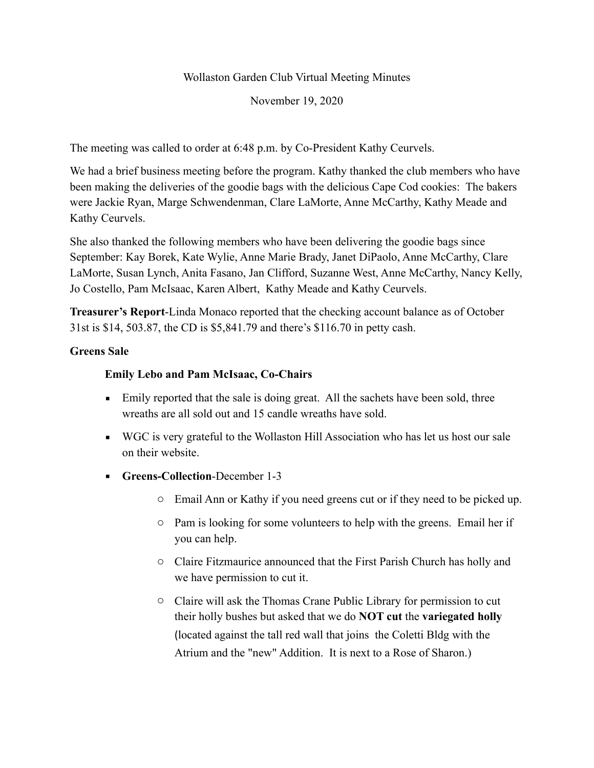Wollaston Garden Club Virtual Meeting Minutes

November 19, 2020

The meeting was called to order at 6:48 p.m. by Co-President Kathy Ceurvels.

We had a brief business meeting before the program. Kathy thanked the club members who have been making the deliveries of the goodie bags with the delicious Cape Cod cookies: The bakers were Jackie Ryan, Marge Schwendenman, Clare LaMorte, Anne McCarthy, Kathy Meade and Kathy Ceurvels.

She also thanked the following members who have been delivering the goodie bags since September: Kay Borek, Kate Wylie, Anne Marie Brady, Janet DiPaolo, Anne McCarthy, Clare LaMorte, Susan Lynch, Anita Fasano, Jan Clifford, Suzanne West, Anne McCarthy, Nancy Kelly, Jo Costello, Pam McIsaac, Karen Albert, Kathy Meade and Kathy Ceurvels.

**Treasurer's Report**-Linda Monaco reported that the checking account balance as of October 31st is \$14, 503.87, the CD is \$5,841.79 and there's \$116.70 in petty cash.

## **Greens Sale**

## **Emily Lebo and Pam McIsaac, Co-Chairs**

- Emily reported that the sale is doing great. All the sachets have been sold, three wreaths are all sold out and 15 candle wreaths have sold.
- WGC is very grateful to the Wollaston Hill Association who has let us host our sale on their website.
- **Greens-Collection**-December 1-3
	- o Email Ann or Kathy if you need greens cut or if they need to be picked up.
	- o Pam is looking for some volunteers to help with the greens. Email her if you can help.
	- o Claire Fitzmaurice announced that the First Parish Church has holly and we have permission to cut it.
	- o Claire will ask the Thomas Crane Public Library for permission to cut their holly bushes but asked that we do **NOT cut** the **variegated holly** (located against the tall red wall that joins the Coletti Bldg with the Atrium and the "new" Addition. It is next to a Rose of Sharon.)